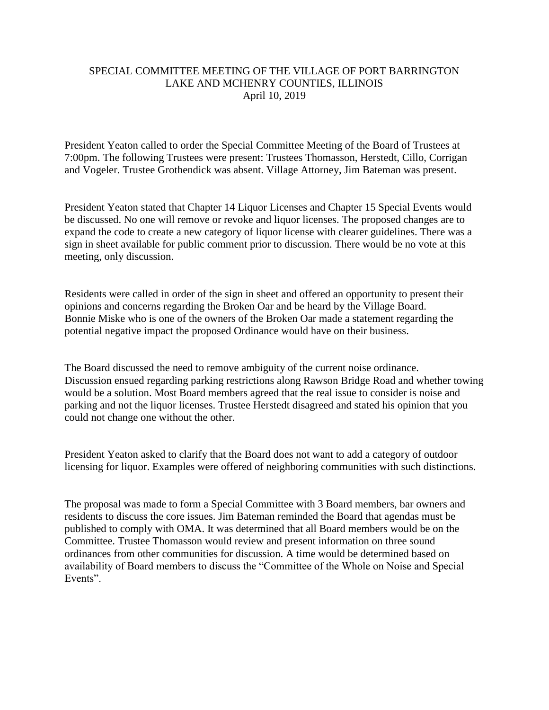## SPECIAL COMMITTEE MEETING OF THE VILLAGE OF PORT BARRINGTON LAKE AND MCHENRY COUNTIES, ILLINOIS April 10, 2019

President Yeaton called to order the Special Committee Meeting of the Board of Trustees at 7:00pm. The following Trustees were present: Trustees Thomasson, Herstedt, Cillo, Corrigan and Vogeler. Trustee Grothendick was absent. Village Attorney, Jim Bateman was present.

President Yeaton stated that Chapter 14 Liquor Licenses and Chapter 15 Special Events would be discussed. No one will remove or revoke and liquor licenses. The proposed changes are to expand the code to create a new category of liquor license with clearer guidelines. There was a sign in sheet available for public comment prior to discussion. There would be no vote at this meeting, only discussion.

Residents were called in order of the sign in sheet and offered an opportunity to present their opinions and concerns regarding the Broken Oar and be heard by the Village Board. Bonnie Miske who is one of the owners of the Broken Oar made a statement regarding the potential negative impact the proposed Ordinance would have on their business.

The Board discussed the need to remove ambiguity of the current noise ordinance. Discussion ensued regarding parking restrictions along Rawson Bridge Road and whether towing would be a solution. Most Board members agreed that the real issue to consider is noise and parking and not the liquor licenses. Trustee Herstedt disagreed and stated his opinion that you could not change one without the other.

President Yeaton asked to clarify that the Board does not want to add a category of outdoor licensing for liquor. Examples were offered of neighboring communities with such distinctions.

The proposal was made to form a Special Committee with 3 Board members, bar owners and residents to discuss the core issues. Jim Bateman reminded the Board that agendas must be published to comply with OMA. It was determined that all Board members would be on the Committee. Trustee Thomasson would review and present information on three sound ordinances from other communities for discussion. A time would be determined based on availability of Board members to discuss the "Committee of the Whole on Noise and Special Events".